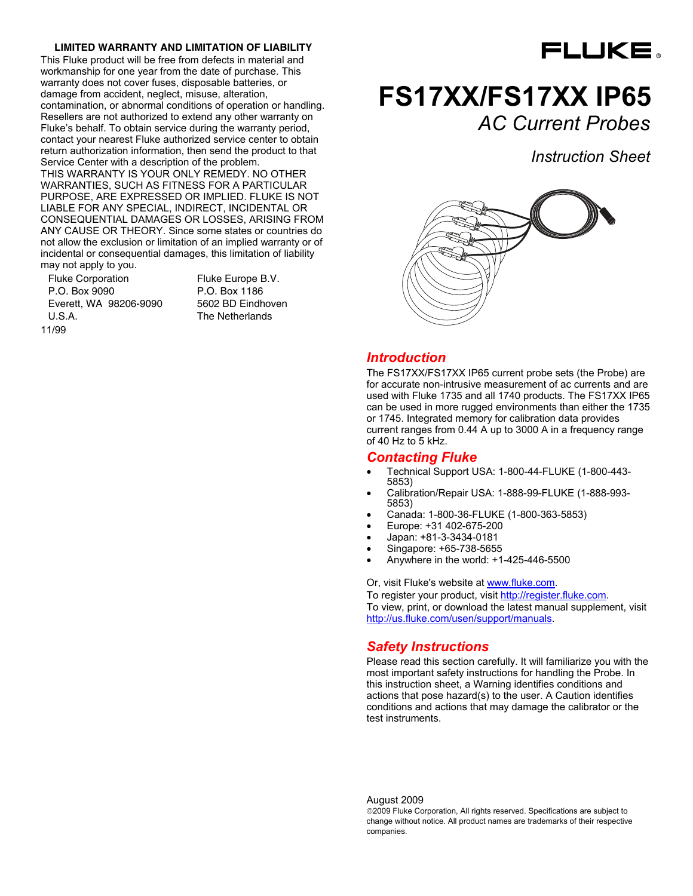#### **LIMITED WARRANTY AND LIMITATION OF LIABILITY**

This Fluke product will be free from defects in material and workmanship for one year from the date of purchase. This warranty does not cover fuses, disposable batteries, or damage from accident, neglect, misuse, alteration, contamination, or abnormal conditions of operation or handling. Resellers are not authorized to extend any other warranty on Fluke's behalf. To obtain service during the warranty period, contact your nearest Fluke authorized service center to obtain return authorization information, then send the product to that Service Center with a description of the problem.

THIS WARRANTY IS YOUR ONLY REMEDY. NO OTHER WARRANTIES, SUCH AS FITNESS FOR A PARTICULAR PURPOSE, ARE EXPRESSED OR IMPLIED. FLUKE IS NOT LIABLE FOR ANY SPECIAL, INDIRECT, INCIDENTAL OR CONSEQUENTIAL DAMAGES OR LOSSES, ARISING FROM ANY CAUSE OR THEORY. Since some states or countries do not allow the exclusion or limitation of an implied warranty or of incidental or consequential damages, this limitation of liability may not apply to you.

Fluke Corporation P.O. Box 9090 Everett, WA 98206-9090 U.S.A. 11/99

Fluke Europe B.V. P.O. Box 1186 5602 BD Eindhoven The Netherlands



# **FS17XX/FS17XX IP65**  *AC Current Probes*

*Instruction Sheet*



#### *Introduction*

The FS17XX/FS17XX IP65 current probe sets (the Probe) are for accurate non-intrusive measurement of ac currents and are used with Fluke 1735 and all 1740 products. The FS17XX IP65 can be used in more rugged environments than either the 1735 or 1745. Integrated memory for calibration data provides current ranges from 0.44 A up to 3000 A in a frequency range of 40 Hz to 5 kHz.

#### *Contacting Fluke*

- Technical Support USA: 1-800-44-FLUKE (1-800-443- 5853)
- Calibration/Repair USA: 1-888-99-FLUKE (1-888-993- 5853)
- Canada: 1-800-36-FLUKE (1-800-363-5853)
- Europe: +31 402-675-200
- Japan: +81-3-3434-0181
- Singapore: +65-738-5655
- Anywhere in the world: +1-425-446-5500

Or, visit Fluke's website at www.fluke.com.

To register your product, visit http://register.fluke.com. To view, print, or download the latest manual supplement, visit http://us.fluke.com/usen/support/manuals.

## *Safety Instructions*

Please read this section carefully. It will familiarize you with the most important safety instructions for handling the Probe. In this instruction sheet, a Warning identifies conditions and actions that pose hazard(s) to the user. A Caution identifies conditions and actions that may damage the calibrator or the test instruments.

August 2009

©2009 Fluke Corporation, All rights reserved. Specifications are subject to change without notice. All product names are trademarks of their respective companies.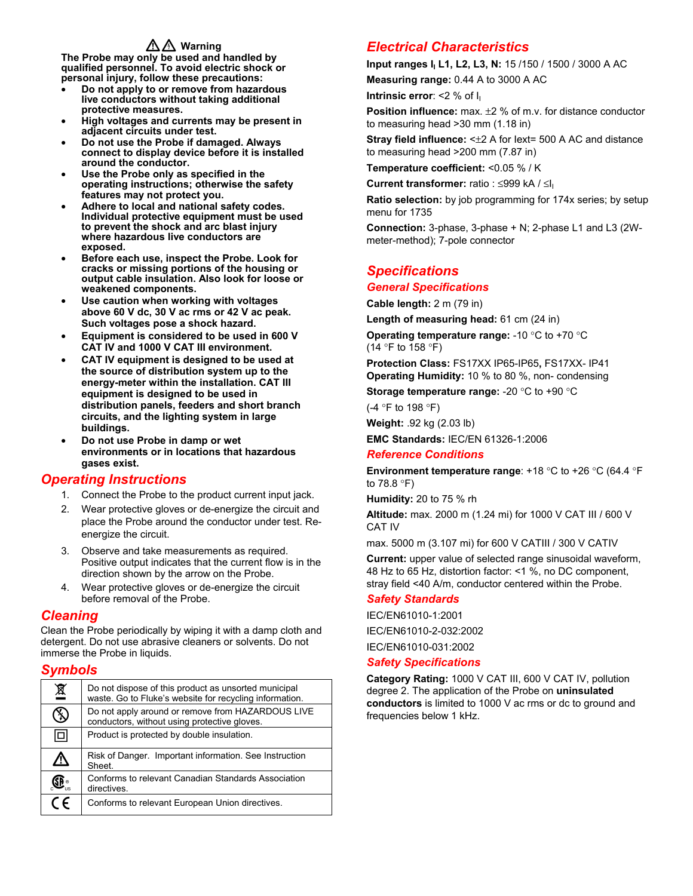# **△△ Warning**

**The Probe may only be used and handled by qualified personnel. To avoid electric shock or personal injury, follow these precautions:** 

- **Do not apply to or remove from hazardous live conductors without taking additional protective measures.**
- **High voltages and currents may be present in adjacent circuits under test.**
- **Do not use the Probe if damaged. Always connect to display device before it is installed around the conductor.**
- **Use the Probe only as specified in the operating instructions; otherwise the safety features may not protect you.**
- **Adhere to local and national safety codes. Individual protective equipment must be used to prevent the shock and arc blast injury where hazardous live conductors are exposed.**
- **Before each use, inspect the Probe. Look for cracks or missing portions of the housing or output cable insulation. Also look for loose or weakened components.**
- **Use caution when working with voltages above 60 V dc, 30 V ac rms or 42 V ac peak. Such voltages pose a shock hazard.**
- **Equipment is considered to be used in 600 V CAT IV and 1000 V CAT III environment.**
- **CAT IV equipment is designed to be used at the source of distribution system up to the energy-meter within the installation. CAT III equipment is designed to be used in distribution panels, feeders and short branch circuits, and the lighting system in large buildings.**
- **Do not use Probe in damp or wet environments or in locations that hazardous gases exist.**

# *Operating Instructions*

- 1. Connect the Probe to the product current input jack.
- 2. Wear protective gloves or de-energize the circuit and place the Probe around the conductor under test. Reenergize the circuit.
- 3. Observe and take measurements as required. Positive output indicates that the current flow is in the direction shown by the arrow on the Probe.
- 4. Wear protective gloves or de-energize the circuit before removal of the Probe.

## *Cleaning*

Clean the Probe periodically by wiping it with a damp cloth and detergent. Do not use abrasive cleaners or solvents. Do not immerse the Probe in liquids.

## *Symbols*

| 亙  | Do not dispose of this product as unsorted municipal<br>waste. Go to Fluke's website for recycling information. |
|----|-----------------------------------------------------------------------------------------------------------------|
|    | Do not apply around or remove from HAZARDOUS LIVE<br>conductors, without using protective gloves.               |
| ⊡  | Product is protected by double insulation.                                                                      |
| ∕∖ | Risk of Danger. Important information. See Instruction<br>Sheet.                                                |
|    | Conforms to relevant Canadian Standards Association<br>directives.                                              |
|    | Conforms to relevant European Union directives.                                                                 |

# *Electrical Characteristics*

**Input ranges I<sub>I</sub> L1, L2, L3, N: 15 /150 / 1500 / 3000 A AC** 

**Measuring range:** 0.44 A to 3000 A AC

**Intrinsic error: <2 % of I<sub>I</sub>** 

**Position influence:** max. ±2 % of m.v. for distance conductor to measuring head >30 mm (1.18 in)

**Stray field influence:** <±2 A for Iext= 500 A AC and distance to measuring head >200 mm (7.87 in)

**Temperature coefficient:** <0.05 % / K

**Current transformer:** ratio : ≤999 kA / ≤II

**Ratio selection:** by job programming for 174x series; by setup menu for 1735

**Connection:** 3-phase, 3-phase + N; 2-phase L1 and L3 (2Wmeter-method); 7-pole connector

# *Specifications General Specifications*

**Cable length:** 2 m (79 in)

**Length of measuring head:** 61 cm (24 in)

**Operating temperature range:** -10 °C to +70 °C (14 °F to 158 °F)

**Protection Class:** FS17XX IP65-IP65**,** FS17XX- IP41 **Operating Humidity:** 10 % to 80 %, non- condensing

**Storage temperature range:** -20 °C to +90 °C

(-4 °F to 198 °F)

**Weight:** .92 kg (2.03 lb)

**EMC Standards:** IEC/EN 61326-1:2006

### *Reference Conditions*

**Environment temperature range**: +18 °C to +26 °C (64.4 °F to 78.8 °F)

**Humidity:** 20 to 75 % rh

**Altitude:** max. 2000 m (1.24 mi) for 1000 V CAT III / 600 V CAT IV

max. 5000 m (3.107 mi) for 600 V CATIII / 300 V CATIV

**Current:** upper value of selected range sinusoidal waveform, 48 Hz to 65 Hz, distortion factor: <1 %, no DC component, stray field <40 A/m, conductor centered within the Probe.

#### *Safety Standards*

IEC/EN61010-1:2001 IEC/EN61010-2-032:2002

IEC/EN61010-031:2002

#### *Safety Specifications*

**Category Rating:** 1000 V CAT III, 600 V CAT IV, pollution degree 2. The application of the Probe on **uninsulated conductors** is limited to 1000 V ac rms or dc to ground and frequencies below 1 kHz.